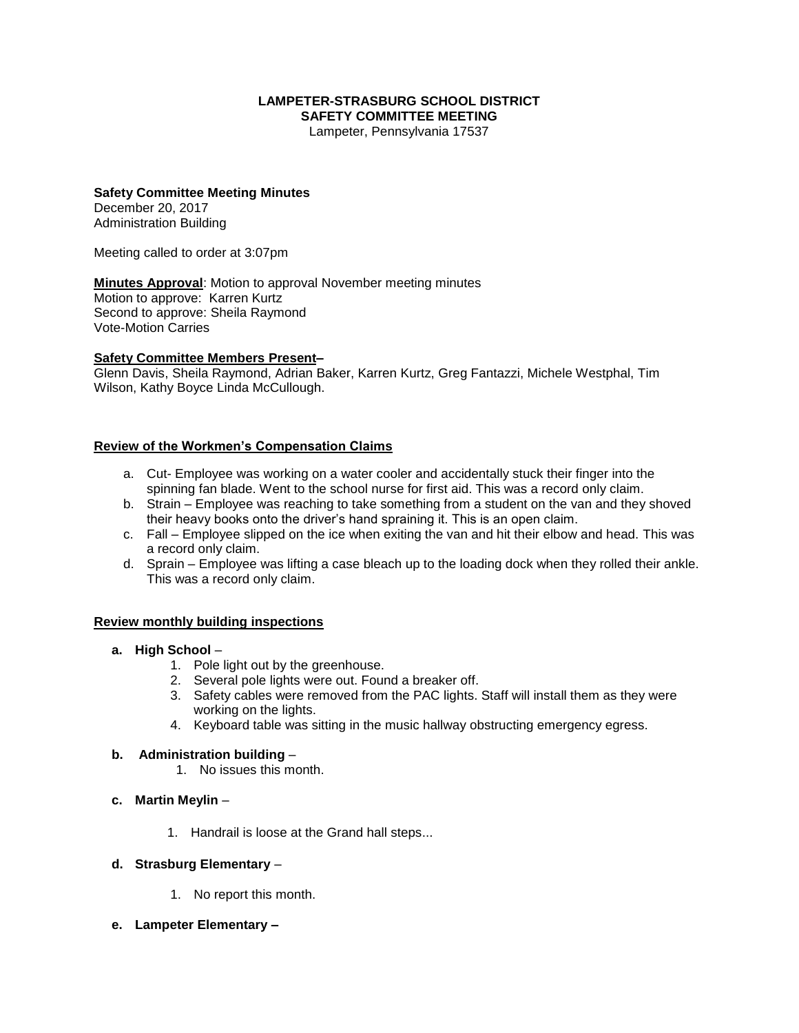# **LAMPETER-STRASBURG SCHOOL DISTRICT SAFETY COMMITTEE MEETING**

Lampeter, Pennsylvania 17537

## **Safety Committee Meeting Minutes**

December 20, 2017 Administration Building

Meeting called to order at 3:07pm

**Minutes Approval**: Motion to approval November meeting minutes Motion to approve: Karren Kurtz Second to approve: Sheila Raymond Vote-Motion Carries

#### **Safety Committee Members Present–**

Glenn Davis, Sheila Raymond, Adrian Baker, Karren Kurtz, Greg Fantazzi, Michele Westphal, Tim Wilson, Kathy Boyce Linda McCullough.

## **Review of the Workmen's Compensation Claims**

- a. Cut- Employee was working on a water cooler and accidentally stuck their finger into the spinning fan blade. Went to the school nurse for first aid. This was a record only claim.
- b. Strain Employee was reaching to take something from a student on the van and they shoved their heavy books onto the driver's hand spraining it. This is an open claim.
- c. Fall Employee slipped on the ice when exiting the van and hit their elbow and head. This was a record only claim.
- d. Sprain Employee was lifting a case bleach up to the loading dock when they rolled their ankle. This was a record only claim.

#### **Review monthly building inspections**

- **a. High School**
	- 1. Pole light out by the greenhouse.
	- 2. Several pole lights were out. Found a breaker off.
	- 3. Safety cables were removed from the PAC lights. Staff will install them as they were working on the lights.
	- 4. Keyboard table was sitting in the music hallway obstructing emergency egress.

#### **b. Administration building** –

- 1. No issues this month.
- **c. Martin Meylin**
	- 1. Handrail is loose at the Grand hall steps...

## **d. Strasburg Elementary** –

- 1. No report this month.
- **e. Lampeter Elementary –**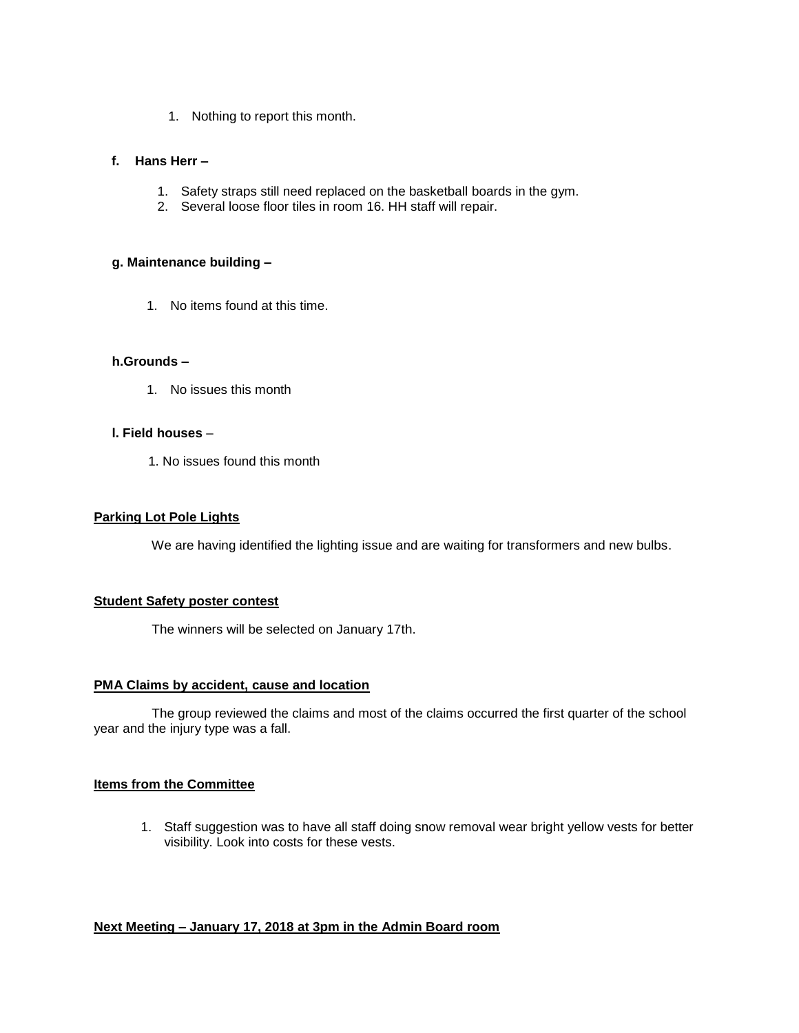1. Nothing to report this month.

# **f. Hans Herr –**

- 1. Safety straps still need replaced on the basketball boards in the gym.
- 2. Several loose floor tiles in room 16. HH staff will repair.

# **g. Maintenance building –**

1. No items found at this time.

## **h.Grounds –**

1. No issues this month

## **l. Field houses** –

1. No issues found this month

# **Parking Lot Pole Lights**

We are having identified the lighting issue and are waiting for transformers and new bulbs.

## **Student Safety poster contest**

The winners will be selected on January 17th.

## **PMA Claims by accident, cause and location**

 The group reviewed the claims and most of the claims occurred the first quarter of the school year and the injury type was a fall.

# **Items from the Committee**

1. Staff suggestion was to have all staff doing snow removal wear bright yellow vests for better visibility. Look into costs for these vests.

## **Next Meeting – January 17, 2018 at 3pm in the Admin Board room**